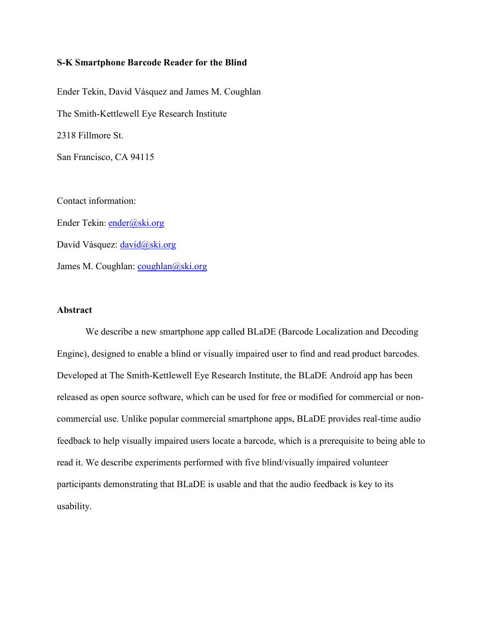#### **S-K Smartphone Barcode Reader for the Blind**

Ender Tekin, David Vásquez and James M. Coughlan The Smith-Kettlewell Eye Research Institute 2318 Fillmore St. San Francisco, CA 94115 Contact information:

Ender Tekin: [ender@ski.org](mailto:ender@ski.org) David Vásquez: [david@ski.org](mailto:david@ski.org) James M. Coughlan: [coughlan@ski.org](mailto:coughlan@ski.org)

# **Abstract**

We describe a new smartphone app called BLaDE (Barcode Localization and Decoding Engine), designed to enable a blind or visually impaired user to find and read product barcodes. Developed at The Smith-Kettlewell Eye Research Institute, the BLaDE Android app has been released as open source software, which can be used for free or modified for commercial or noncommercial use. Unlike popular commercial smartphone apps, BLaDE provides real-time audio feedback to help visually impaired users locate a barcode, which is a prerequisite to being able to read it. We describe experiments performed with five blind/visually impaired volunteer participants demonstrating that BLaDE is usable and that the audio feedback is key to its usability.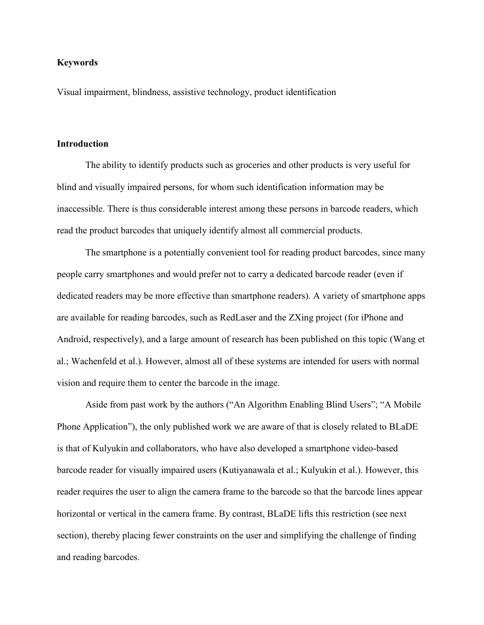## **Keywords**

Visual impairment, blindness, assistive technology, product identification

## **Introduction**

The ability to identify products such as groceries and other products is very useful for blind and visually impaired persons, for whom such identification information may be inaccessible. There is thus considerable interest among these persons in barcode readers, which read the product barcodes that uniquely identify almost all commercial products.

The smartphone is a potentially convenient tool for reading product barcodes, since many people carry smartphones and would prefer not to carry a dedicated barcode reader (even if dedicated readers may be more effective than smartphone readers). A variety of smartphone apps are available for reading barcodes, such as RedLaser and the ZXing project (for iPhone and Android, respectively), and a large amount of research has been published on this topic (Wang et al.; Wachenfeld et al.). However, almost all of these systems are intended for users with normal vision and require them to center the barcode in the image.

Aside from past work by the authors ("An Algorithm Enabling Blind Users"; "A Mobile Phone Application"), the only published work we are aware of that is closely related to BLaDE is that of Kulyukin and collaborators, who have also developed a smartphone video-based barcode reader for visually impaired users (Kutiyanawala et al.; Kulyukin et al.). However, this reader requires the user to align the camera frame to the barcode so that the barcode lines appear horizontal or vertical in the camera frame. By contrast, BLaDE lifts this restriction (see next section), thereby placing fewer constraints on the user and simplifying the challenge of finding and reading barcodes.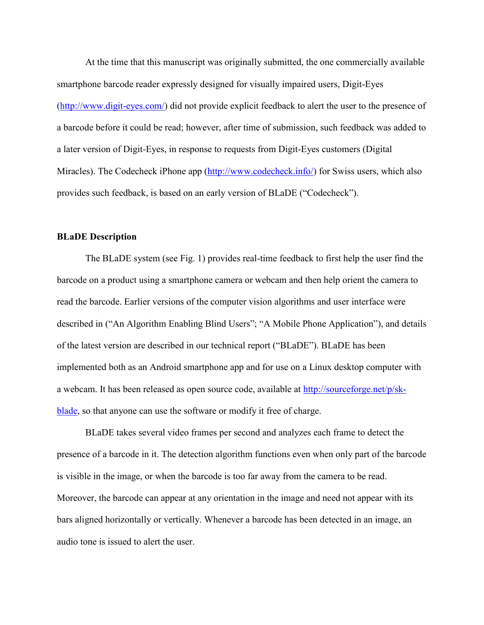At the time that this manuscript was originally submitted, the one commercially available smartphone barcode reader expressly designed for visually impaired users, Digit-Eyes [\(http://www.digit-eyes.com/\)](http://www.digit-eyes.com/),) did not provide explicit feedback to alert the user to the presence of a barcode before it could be read; however, after time of submission, such feedback was added to a later version of Digit-Eyes, in response to requests from Digit-Eyes customers (Digital Miracles). The Codecheck iPhone app [\(http://www.codecheck.info/\)](http://www.codecheck.info/) for Swiss users, which also provides such feedback, is based on an early version of BLaDE ("Codecheck").

#### **BLaDE Description**

The BLaDE system (see Fig. 1) provides real-time feedback to first help the user find the barcode on a product using a smartphone camera or webcam and then help orient the camera to read the barcode. Earlier versions of the computer vision algorithms and user interface were described in ("An Algorithm Enabling Blind Users"; "A Mobile Phone Application"), and details of the latest version are described in our technical report ("BLaDE"). BLaDE has been implemented both as an Android smartphone app and for use on a Linux desktop computer with a webcam. It has been released as open source code, available at http://sourceforge.net/p/skblade, so that anyone can use the software or modify it free of charge.

BLaDE takes several video frames per second and analyzes each frame to detect the presence of a barcode in it. The detection algorithm functions even when only part of the barcode is visible in the image, or when the barcode is too far away from the camera to be read. Moreover, the barcode can appear at any orientation in the image and need not appear with its bars aligned horizontally or vertically. Whenever a barcode has been detected in an image, an audio tone is issued to alert the user.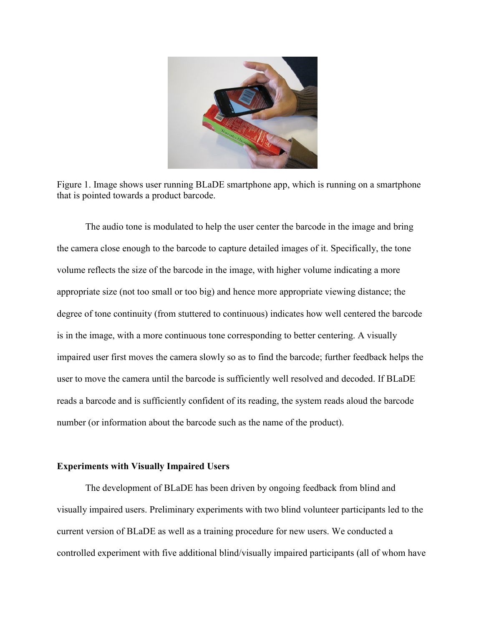

Figure 1. Image shows user running BLaDE smartphone app, which is running on a smartphone that is pointed towards a product barcode.

The audio tone is modulated to help the user center the barcode in the image and bring the camera close enough to the barcode to capture detailed images of it. Specifically, the tone volume reflects the size of the barcode in the image, with higher volume indicating a more appropriate size (not too small or too big) and hence more appropriate viewing distance; the degree of tone continuity (from stuttered to continuous) indicates how well centered the barcode is in the image, with a more continuous tone corresponding to better centering. A visually impaired user first moves the camera slowly so as to find the barcode; further feedback helps the user to move the camera until the barcode is sufficiently well resolved and decoded. If BLaDE reads a barcode and is sufficiently confident of its reading, the system reads aloud the barcode number (or information about the barcode such as the name of the product).

## **Experiments with Visually Impaired Users**

The development of BLaDE has been driven by ongoing feedback from blind and visually impaired users. Preliminary experiments with two blind volunteer participants led to the current version of BLaDE as well as a training procedure for new users. We conducted a controlled experiment with five additional blind/visually impaired participants (all of whom have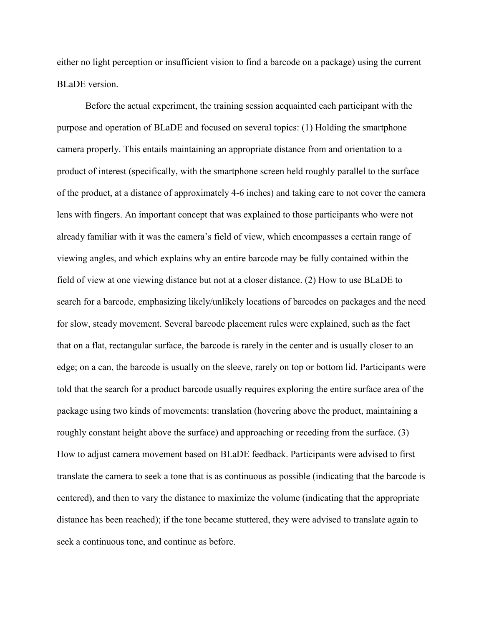either no light perception or insufficient vision to find a barcode on a package) using the current BLaDE version.

Before the actual experiment, the training session acquainted each participant with the purpose and operation of BLaDE and focused on several topics: (1) Holding the smartphone camera properly. This entails maintaining an appropriate distance from and orientation to a product of interest (specifically, with the smartphone screen held roughly parallel to the surface of the product, at a distance of approximately 4-6 inches) and taking care to not cover the camera lens with fingers. An important concept that was explained to those participants who were not already familiar with it was the camera's field of view, which encompasses a certain range of viewing angles, and which explains why an entire barcode may be fully contained within the field of view at one viewing distance but not at a closer distance. (2) How to use BLaDE to search for a barcode, emphasizing likely/unlikely locations of barcodes on packages and the need for slow, steady movement. Several barcode placement rules were explained, such as the fact that on a flat, rectangular surface, the barcode is rarely in the center and is usually closer to an edge; on a can, the barcode is usually on the sleeve, rarely on top or bottom lid. Participants were told that the search for a product barcode usually requires exploring the entire surface area of the package using two kinds of movements: translation (hovering above the product, maintaining a roughly constant height above the surface) and approaching or receding from the surface. (3) How to adjust camera movement based on BLaDE feedback. Participants were advised to first translate the camera to seek a tone that is as continuous as possible (indicating that the barcode is centered), and then to vary the distance to maximize the volume (indicating that the appropriate distance has been reached); if the tone became stuttered, they were advised to translate again to seek a continuous tone, and continue as before.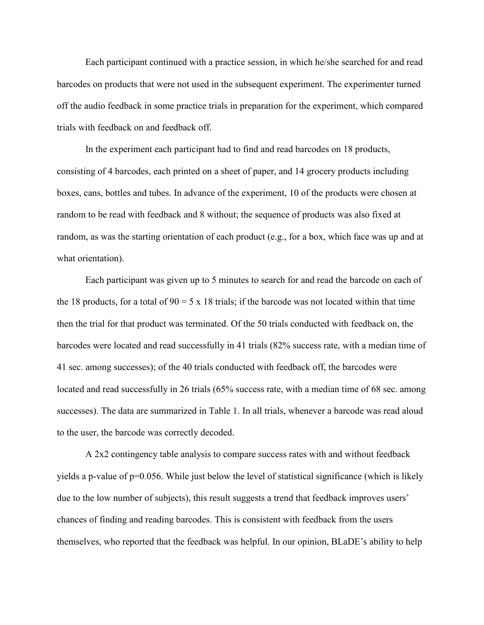Each participant continued with a practice session, in which he/she searched for and read barcodes on products that were not used in the subsequent experiment. The experimenter turned off the audio feedback in some practice trials in preparation for the experiment, which compared trials with feedback on and feedback off.

In the experiment each participant had to find and read barcodes on 18 products, consisting of 4 barcodes, each printed on a sheet of paper, and 14 grocery products including boxes, cans, bottles and tubes. In advance of the experiment, 10 of the products were chosen at random to be read with feedback and 8 without; the sequence of products was also fixed at random, as was the starting orientation of each product (e.g., for a box, which face was up and at what orientation).

Each participant was given up to 5 minutes to search for and read the barcode on each of the 18 products, for a total of  $90 = 5 \times 18$  trials; if the barcode was not located within that time then the trial for that product was terminated. Of the 50 trials conducted with feedback on, the barcodes were located and read successfully in 41 trials (82% success rate, with a median time of 41 sec. among successes); of the 40 trials conducted with feedback off, the barcodes were located and read successfully in 26 trials (65% success rate, with a median time of 68 sec. among successes). The data are summarized in Table 1. In all trials, whenever a barcode was read aloud to the user, the barcode was correctly decoded.

A 2x2 contingency table analysis to compare success rates with and without feedback yields a p-value of  $p=0.056$ . While just below the level of statistical significance (which is likely due to the low number of subjects), this result suggests a trend that feedback improves users' chances of finding and reading barcodes. This is consistent with feedback from the users themselves, who reported that the feedback was helpful. In our opinion, BLaDE's ability to help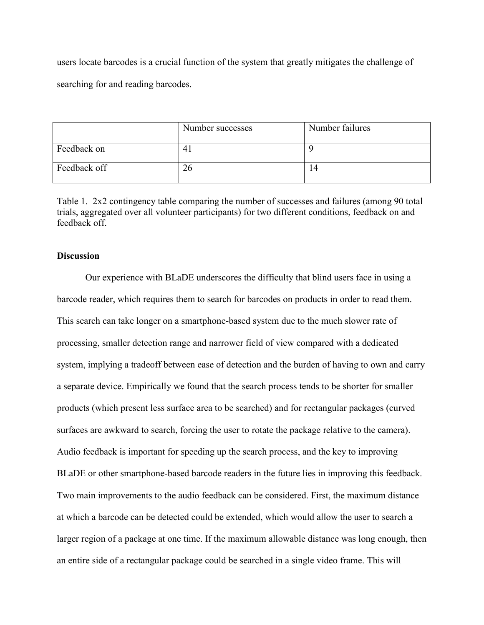users locate barcodes is a crucial function of the system that greatly mitigates the challenge of searching for and reading barcodes.

|              | Number successes | Number failures |
|--------------|------------------|-----------------|
| Feedback on  | 4.               |                 |
| Feedback off | 26               | ۱4              |

Table 1. 2x2 contingency table comparing the number of successes and failures (among 90 total trials, aggregated over all volunteer participants) for two different conditions, feedback on and feedback off.

# **Discussion**

Our experience with BLaDE underscores the difficulty that blind users face in using a barcode reader, which requires them to search for barcodes on products in order to read them. This search can take longer on a smartphone-based system due to the much slower rate of processing, smaller detection range and narrower field of view compared with a dedicated system, implying a tradeoff between ease of detection and the burden of having to own and carry a separate device. Empirically we found that the search process tends to be shorter for smaller products (which present less surface area to be searched) and for rectangular packages (curved surfaces are awkward to search, forcing the user to rotate the package relative to the camera). Audio feedback is important for speeding up the search process, and the key to improving BLaDE or other smartphone-based barcode readers in the future lies in improving this feedback. Two main improvements to the audio feedback can be considered. First, the maximum distance at which a barcode can be detected could be extended, which would allow the user to search a larger region of a package at one time. If the maximum allowable distance was long enough, then an entire side of a rectangular package could be searched in a single video frame. This will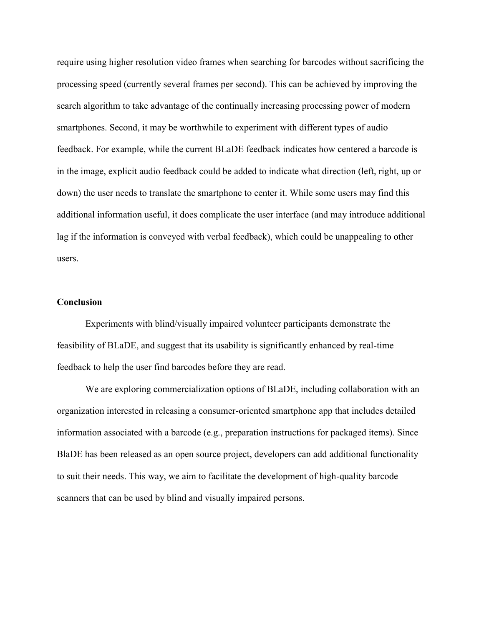require using higher resolution video frames when searching for barcodes without sacrificing the processing speed (currently several frames per second). This can be achieved by improving the search algorithm to take advantage of the continually increasing processing power of modern smartphones. Second, it may be worthwhile to experiment with different types of audio feedback. For example, while the current BLaDE feedback indicates how centered a barcode is in the image, explicit audio feedback could be added to indicate what direction (left, right, up or down) the user needs to translate the smartphone to center it. While some users may find this additional information useful, it does complicate the user interface (and may introduce additional lag if the information is conveyed with verbal feedback), which could be unappealing to other users.

#### **Conclusion**

Experiments with blind/visually impaired volunteer participants demonstrate the feasibility of BLaDE, and suggest that its usability is significantly enhanced by real-time feedback to help the user find barcodes before they are read.

We are exploring commercialization options of BLaDE, including collaboration with an organization interested in releasing a consumer-oriented smartphone app that includes detailed information associated with a barcode (e.g., preparation instructions for packaged items). Since BlaDE has been released as an open source project, developers can add additional functionality to suit their needs. This way, we aim to facilitate the development of high-quality barcode scanners that can be used by blind and visually impaired persons.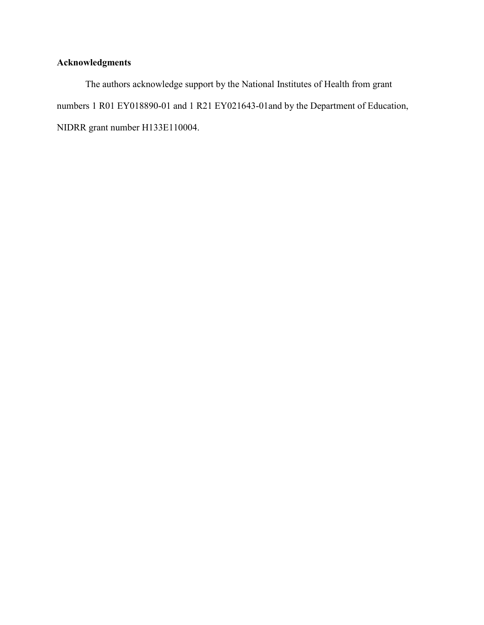# **Acknowledgments**

The authors acknowledge support by the National Institutes of Health from grant numbers 1 R01 EY018890-01 and 1 R21 EY021643-01and by the Department of Education, NIDRR grant number H133E110004.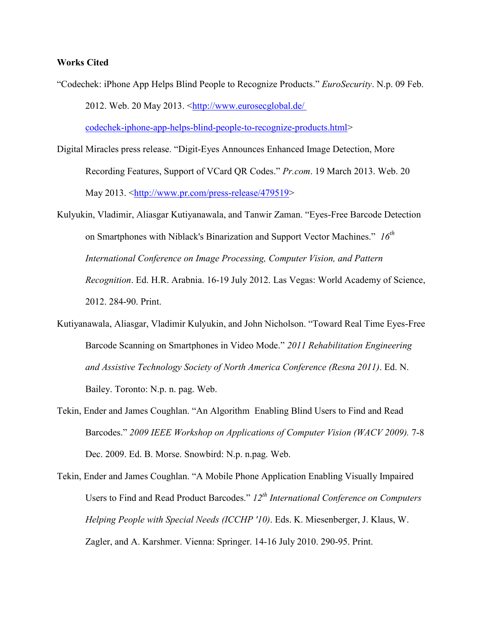## **Works Cited**

"Codechek: iPhone App Helps Blind People to Recognize Products." *EuroSecurity*. N.p. 09 Feb. 2012. Web. 20 May 2013. [<http://www.eurosecglobal.de/](http://www.eurosecglobal.de/codechek-iphone-app-helps-blind-people-to-recognize-products.html) [codechek-iphone-app-helps-blind-people-to-recognize-products.html>](http://www.eurosecglobal.de/codechek-iphone-app-helps-blind-people-to-recognize-products.html)

Digital Miracles press release. "Digit-Eyes Announces Enhanced Image Detection, More Recording Features, Support of VCard QR Codes." *Pr.com*. 19 March 2013. Web. 20 May 2013. [<http://www.pr.com/press-release/479519>](http://www.pr.com/press-release/479519)

- Kulyukin, Vladimir, Aliasgar Kutiyanawala, and Tanwir Zaman. "Eyes-Free Barcode Detection on Smartphones with Niblack's Binarization and Support Vector Machines." *16th International Conference on Image Processing, Computer Vision, and Pattern Recognition*. Ed. H.R. Arabnia. 16-19 July 2012. Las Vegas: World Academy of Science, 2012. 284-90. Print.
- Kutiyanawala, Aliasgar, Vladimir Kulyukin, and John Nicholson. "Toward Real Time Eyes-Free Barcode Scanning on Smartphones in Video Mode." *2011 Rehabilitation Engineering and Assistive Technology Society of North America Conference (Resna 2011)*. Ed. N. Bailey. Toronto: N.p. n. pag. Web.
- Tekin, Ender and James Coughlan. "An Algorithm Enabling Blind Users to Find and Read Barcodes." *2009 IEEE Workshop on Applications of Computer Vision (WACV 2009).* 7-8 Dec. 2009. Ed. B. Morse. Snowbird: N.p. n.pag. Web.
- Tekin, Ender and James Coughlan. "A Mobile Phone Application Enabling Visually Impaired Users to Find and Read Product Barcodes." *12th International Conference on Computers Helping People with Special Needs (ICCHP '10)*. Eds. K. Miesenberger, J. Klaus, W. Zagler, and A. Karshmer. Vienna: Springer. 14-16 July 2010. 290-95. Print.